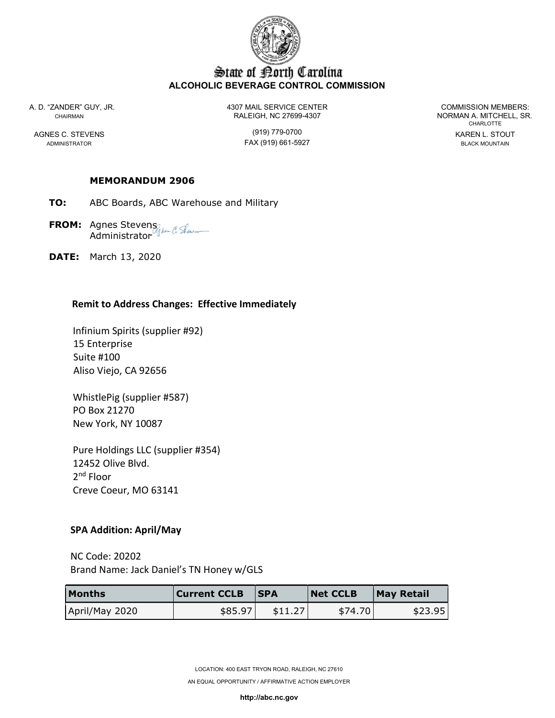

# State of Borth Carolina ALCOHOLIC BEVERAGE CONTROL COMMISSION

A. D. "ZANDER" GUY, JR. 4307 MAIL SERVICE CENTER COMMISSION MEMBERS: CHAIRMAN CHAIRMAN RALEIGH, NC 27699-4307 NORMAN A. MITCHELL, SR.

AGNES C. STEVENS (919) 779-0700 KAREN L. STOUT ADMINISTRATOR FAX (919) 661-5927 BLACK MOUNTAIN

CHARLOTTE

#### MEMORANDUM 2906

- TO: ABC Boards, ABC Warehouse and Military
- **FROM:** Agnes Stevens Administrator
- DATE: March 13, 2020

#### Remit to Address Changes: Effective Immediately

 Infinium Spirits (supplier #92) 15 Enterprise Suite #100 Aliso Viejo, CA 92656

 WhistlePig (supplier #587) PO Box 21270 New York, NY 10087

 Pure Holdings LLC (supplier #354) 12452 Olive Blvd. 2nd Floor Creve Coeur, MO 63141

## SPA Addition: April/May

 NC Code: 20202 Brand Name: Jack Daniel's TN Honey w/GLS

| <b>Months</b>  | <b>Current CCLB</b> | <b>ISPA</b> | <b>Net CCLB</b> | May Retail |
|----------------|---------------------|-------------|-----------------|------------|
| April/May 2020 | \$85.97             | \$11.27     | \$74.70         | \$23.95    |

AN EQUAL OPPORTUNITY / AFFIRMATIVE ACTION EMPLOYER

http://abc.nc.gov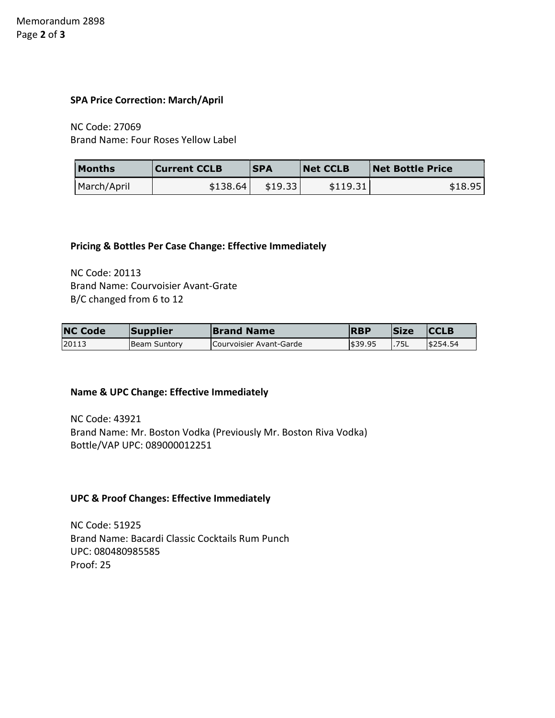#### SPA Price Correction: March/April

 NC Code: 27069 Brand Name: Four Roses Yellow Label

| <b>Months</b> | Current CCLB | <b>SPA</b> | <b>Net CCLB</b> | <b>Net Bottle Price</b> |
|---------------|--------------|------------|-----------------|-------------------------|
| March/April   | \$138.64     | \$19.33    | \$119.31        | \$18.95                 |

#### Pricing & Bottles Per Case Change: Effective Immediately

 NC Code: 20113 Brand Name: Courvoisier Avant-Grate B/C changed from 6 to 12

| <b>NC Code</b> | Supplier             | <b>Brand Name</b>       | <b>RBP</b> | <b>Size</b> | <b>CCLB</b> |
|----------------|----------------------|-------------------------|------------|-------------|-------------|
| 20113          | <b>IBeam Suntory</b> | Courvoisier Avant-Garde | \$39.95    | .75L        | \$254.54    |

## Name & UPC Change: Effective Immediately

 NC Code: 43921 Brand Name: Mr. Boston Vodka (Previously Mr. Boston Riva Vodka) Bottle/VAP UPC: 089000012251

## UPC & Proof Changes: Effective Immediately

 NC Code: 51925 Brand Name: Bacardi Classic Cocktails Rum Punch UPC: 080480985585 Proof: 25